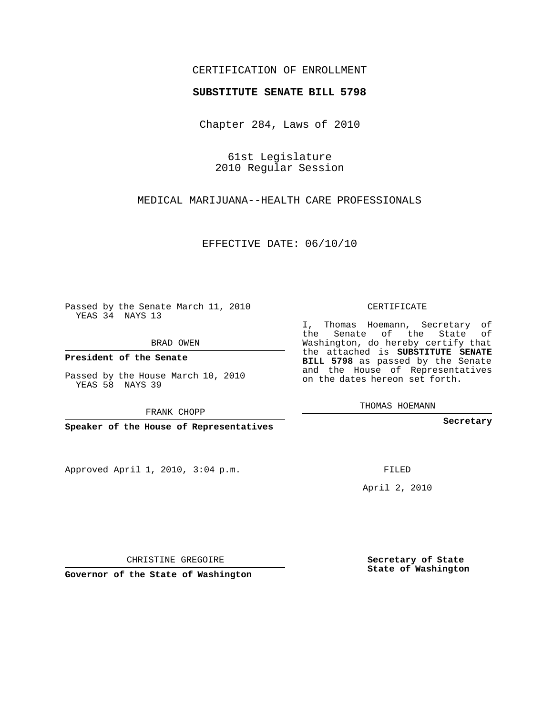## CERTIFICATION OF ENROLLMENT

## **SUBSTITUTE SENATE BILL 5798**

Chapter 284, Laws of 2010

61st Legislature 2010 Regular Session

MEDICAL MARIJUANA--HEALTH CARE PROFESSIONALS

EFFECTIVE DATE: 06/10/10

Passed by the Senate March 11, 2010 YEAS 34 NAYS 13

BRAD OWEN

**President of the Senate**

Passed by the House March 10, 2010 YEAS 58 NAYS 39

FRANK CHOPP

**Speaker of the House of Representatives**

Approved April 1, 2010, 3:04 p.m.

CERTIFICATE

I, Thomas Hoemann, Secretary of the Senate of the State of Washington, do hereby certify that the attached is **SUBSTITUTE SENATE BILL 5798** as passed by the Senate and the House of Representatives on the dates hereon set forth.

THOMAS HOEMANN

**Secretary**

FILED

April 2, 2010

**Secretary of State State of Washington**

CHRISTINE GREGOIRE

**Governor of the State of Washington**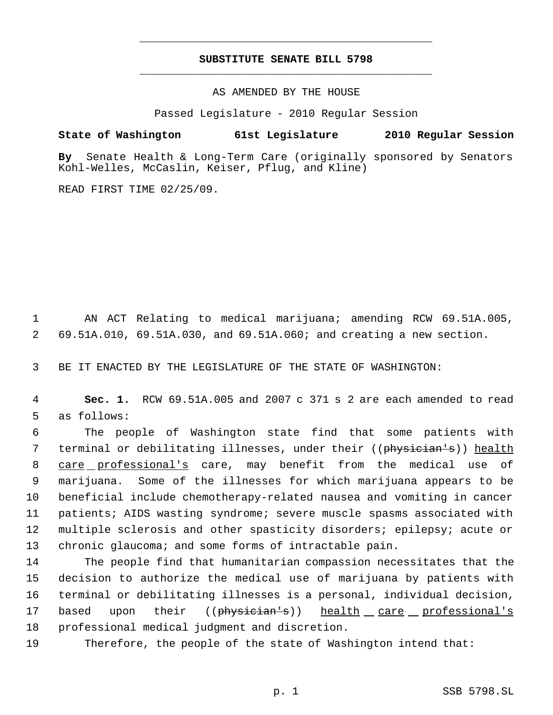## **SUBSTITUTE SENATE BILL 5798** \_\_\_\_\_\_\_\_\_\_\_\_\_\_\_\_\_\_\_\_\_\_\_\_\_\_\_\_\_\_\_\_\_\_\_\_\_\_\_\_\_\_\_\_\_

\_\_\_\_\_\_\_\_\_\_\_\_\_\_\_\_\_\_\_\_\_\_\_\_\_\_\_\_\_\_\_\_\_\_\_\_\_\_\_\_\_\_\_\_\_

AS AMENDED BY THE HOUSE

Passed Legislature - 2010 Regular Session

**State of Washington 61st Legislature 2010 Regular Session**

**By** Senate Health & Long-Term Care (originally sponsored by Senators Kohl-Welles, McCaslin, Keiser, Pflug, and Kline)

READ FIRST TIME 02/25/09.

 1 AN ACT Relating to medical marijuana; amending RCW 69.51A.005, 2 69.51A.010, 69.51A.030, and 69.51A.060; and creating a new section.

3 BE IT ENACTED BY THE LEGISLATURE OF THE STATE OF WASHINGTON:

 4 **Sec. 1.** RCW 69.51A.005 and 2007 c 371 s 2 are each amended to read 5 as follows:

 The people of Washington state find that some patients with 7 terminal or debilitating illnesses, under their ((physician's)) health 8 care professional's care, may benefit from the medical use of marijuana. Some of the illnesses for which marijuana appears to be beneficial include chemotherapy-related nausea and vomiting in cancer patients; AIDS wasting syndrome; severe muscle spasms associated with multiple sclerosis and other spasticity disorders; epilepsy; acute or chronic glaucoma; and some forms of intractable pain.

 The people find that humanitarian compassion necessitates that the decision to authorize the medical use of marijuana by patients with terminal or debilitating illnesses is a personal, individual decision, 17 based upon their ((physician's)) health care professional's professional medical judgment and discretion.

19 Therefore, the people of the state of Washington intend that: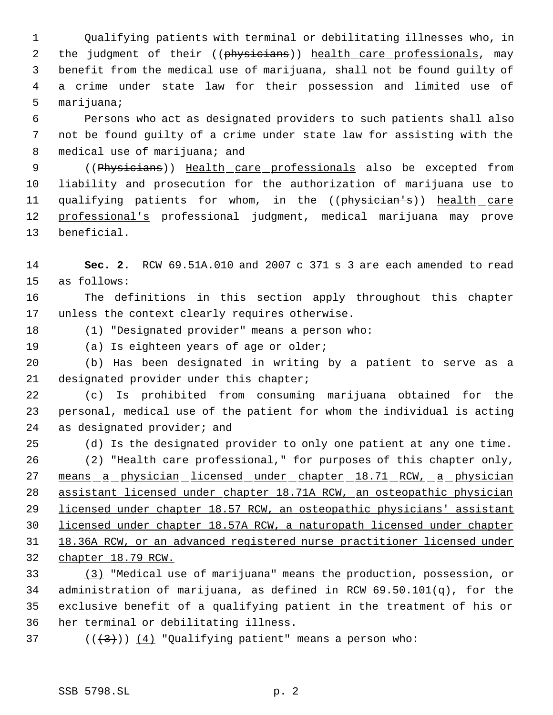Qualifying patients with terminal or debilitating illnesses who, in 2 the judgment of their ((physicians)) health care professionals, may benefit from the medical use of marijuana, shall not be found guilty of a crime under state law for their possession and limited use of marijuana;

 Persons who act as designated providers to such patients shall also not be found guilty of a crime under state law for assisting with the 8 medical use of marijuana; and

9 ((Physicians)) Health care professionals also be excepted from liability and prosecution for the authorization of marijuana use to 11 qualifying patients for whom, in the ((physician's)) health care professional's professional judgment, medical marijuana may prove beneficial.

 **Sec. 2.** RCW 69.51A.010 and 2007 c 371 s 3 are each amended to read as follows:

 The definitions in this section apply throughout this chapter unless the context clearly requires otherwise.

(1) "Designated provider" means a person who:

(a) Is eighteen years of age or older;

 (b) Has been designated in writing by a patient to serve as a designated provider under this chapter;

 (c) Is prohibited from consuming marijuana obtained for the personal, medical use of the patient for whom the individual is acting as designated provider; and

(d) Is the designated provider to only one patient at any one time.

 (2) "Health care professional," for purposes of this chapter only, 27 means a physician licensed under chapter 18.71 RCW, a physician assistant licensed under chapter 18.71A RCW, an osteopathic physician licensed under chapter 18.57 RCW, an osteopathic physicians' assistant licensed under chapter 18.57A RCW, a naturopath licensed under chapter 18.36A RCW, or an advanced registered nurse practitioner licensed under chapter 18.79 RCW.

 (3) "Medical use of marijuana" means the production, possession, or administration of marijuana, as defined in RCW 69.50.101(q), for the exclusive benefit of a qualifying patient in the treatment of his or her terminal or debilitating illness.

37 ( $(\langle 3 \rangle)$ )  $(4)$  "Qualifying patient" means a person who: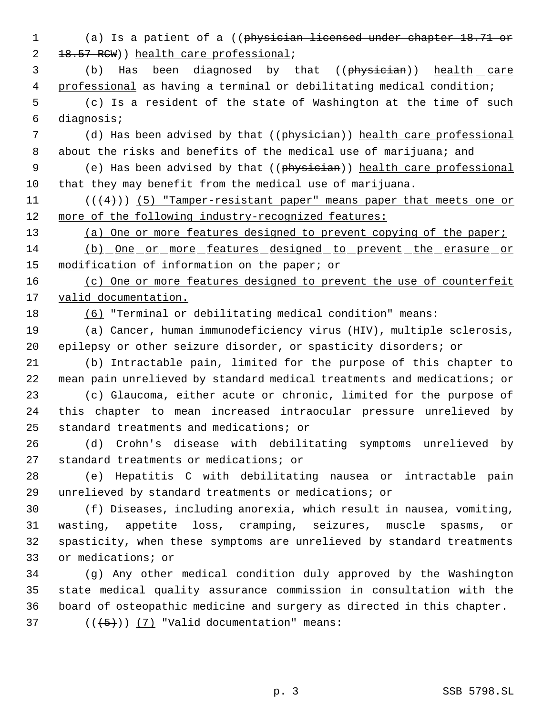(a) Is a patient of a ((physician licensed under chapter 18.71 or 2 18.57 RCW)) health care professional;

 (b) Has been diagnosed by that ((physician)) health care professional as having a terminal or debilitating medical condition;

 (c) Is a resident of the state of Washington at the time of such diagnosis;

7 (d) Has been advised by that ((physician)) health care professional 8 about the risks and benefits of the medical use of marijuana; and

 (e) Has been advised by that ((physician)) health care professional that they may benefit from the medical use of marijuana.

11  $((4+))$  (5) "Tamper-resistant paper" means paper that meets one or more of the following industry-recognized features:

13 (a) One or more features designed to prevent copying of the paper;

14 (b) One or more features designed to prevent the erasure or 15 modification of information on the paper; or

16 (c) One or more features designed to prevent the use of counterfeit 17 valid documentation.

(6) "Terminal or debilitating medical condition" means:

 (a) Cancer, human immunodeficiency virus (HIV), multiple sclerosis, epilepsy or other seizure disorder, or spasticity disorders; or

 (b) Intractable pain, limited for the purpose of this chapter to mean pain unrelieved by standard medical treatments and medications; or

 (c) Glaucoma, either acute or chronic, limited for the purpose of this chapter to mean increased intraocular pressure unrelieved by standard treatments and medications; or

 (d) Crohn's disease with debilitating symptoms unrelieved by standard treatments or medications; or

 (e) Hepatitis C with debilitating nausea or intractable pain unrelieved by standard treatments or medications; or

 (f) Diseases, including anorexia, which result in nausea, vomiting, wasting, appetite loss, cramping, seizures, muscle spasms, or spasticity, when these symptoms are unrelieved by standard treatments or medications; or

 (g) Any other medical condition duly approved by the Washington state medical quality assurance commission in consultation with the board of osteopathic medicine and surgery as directed in this chapter.

37  $((+5))$   $(7)$  "Valid documentation" means: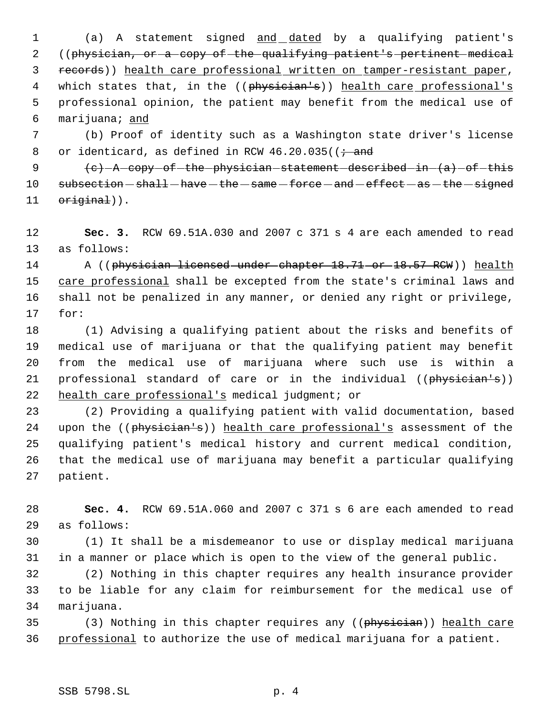(a) A statement signed and dated by a qualifying patient's ((physician, or a copy of the qualifying patient's pertinent medical records)) health care professional written on tamper-resistant paper, 4 which states that, in the ((physician's)) health care professional's professional opinion, the patient may benefit from the medical use of marijuana; and

 (b) Proof of identity such as a Washington state driver's license 8 or identicard, as defined in RCW  $46.20.035$  ( $\frac{1}{7}$  and

 $\left\{e\right\}$  - A copy of the physician statement described in  $\left\{a\right\}$  of this subsection  $-$  shall  $-\text{have}$   $-\text{the}$   $-\text{same}$   $-\text{force}$   $-\text{and}$   $-\text{effect}$   $-\text{as}$   $-\text{the}$   $-\text{signed}$ 11 original)).

 **Sec. 3.** RCW 69.51A.030 and 2007 c 371 s 4 are each amended to read as follows:

14 A ((physician licensed under chapter 18.71 or 18.57 RCW)) health 15 care professional shall be excepted from the state's criminal laws and shall not be penalized in any manner, or denied any right or privilege, for:

 (1) Advising a qualifying patient about the risks and benefits of medical use of marijuana or that the qualifying patient may benefit from the medical use of marijuana where such use is within a 21 professional standard of care or in the individual ((physician's)) 22 health care professional's medical judgment; or

 (2) Providing a qualifying patient with valid documentation, based 24 upon the ((physician's)) health care professional's assessment of the qualifying patient's medical history and current medical condition, that the medical use of marijuana may benefit a particular qualifying patient.

 **Sec. 4.** RCW 69.51A.060 and 2007 c 371 s 6 are each amended to read as follows:

 (1) It shall be a misdemeanor to use or display medical marijuana in a manner or place which is open to the view of the general public.

 (2) Nothing in this chapter requires any health insurance provider to be liable for any claim for reimbursement for the medical use of marijuana.

35 (3) Nothing in this chapter requires any ((physician)) health care professional to authorize the use of medical marijuana for a patient.